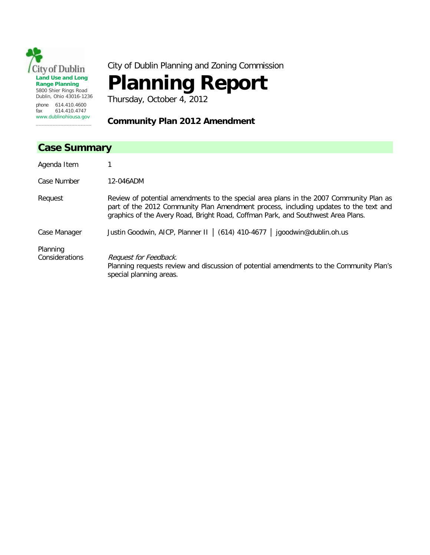

City of Dublin Planning and Zoning Commission

# **Planning Report**

Thursday, October 4, 2012

# **Community Plan 2012 Amendment**

# **Case Summary** Agenda Item 1 Case Number 12-046ADM Request Review of potential amendments to the special area plans in the 2007 Community Plan as part of the 2012 Community Plan Amendment process, including updates to the text and graphics of the Avery Road, Bright Road, Coffman Park, and Southwest Area Plans. Case Manager Justin Goodwin, AICP, Planner II │ (614) 410-4677 │ jgoodwin@dublin.oh.us Planning Considerations Request for Feedback. Planning requests review and discussion of potential amendments to the Community Plan's special planning areas.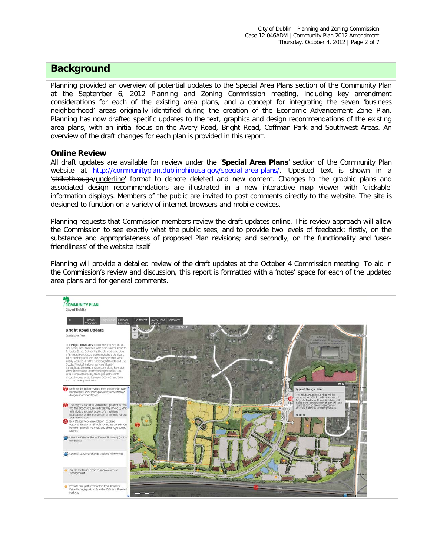# **Background**

Planning provided an overview of potential updates to the Special Area Plans section of the Community Plan at the September 6, 2012 Planning and Zoning Commission meeting, including key amendment considerations for each of the existing area plans, and a concept for integrating the seven 'business neighborhood' areas originally identified during the creation of the Economic Advancement Zone Plan. Planning has now drafted specific updates to the text, graphics and design recommendations of the existing area plans, with an initial focus on the Avery Road, Bright Road, Coffman Park and Southwest Areas. An overview of the draft changes for each plan is provided in this report.

## **Online Review**

All draft updates are available for review under the '**Special Area Plans**' section of the Community Plan website at [http://communityplan.dublinohiousa.gov/special-area-plans/.](http://communityplan.dublinohiousa.gov/special-area-plans/) Updated text is shown in a 'strikethrough/underline' format to denote deleted and new content. Changes to the graphic plans and associated design recommendations are illustrated in a new interactive map viewer with 'clickable' information displays. Members of the public are invited to post comments directly to the website. The site is designed to function on a variety of internet browsers and mobile devices.

Planning requests that Commission members review the draft updates online. This review approach will allow the Commission to see exactly what the public sees, and to provide two levels of feedback: firstly, on the substance and appropriateness of proposed Plan revisions; and secondly, on the functionality and 'userfriendliness' of the website itself.

Planning will provide a detailed review of the draft updates at the October 4 Commission meeting. To aid in the Commission's review and discussion, this report is formatted with a 'notes' space for each of the updated area plans and for general comments.

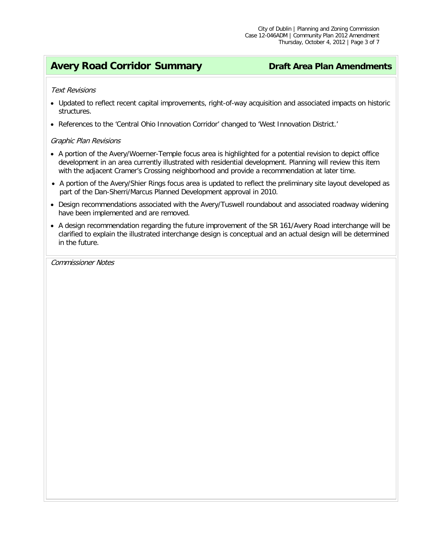# **Avery Road Corridor Summary <b>Draft** Area Plan Amendments

### Text Revisions

- Updated to reflect recent capital improvements, right-of-way acquisition and associated impacts on historic structures.
- References to the 'Central Ohio Innovation Corridor' changed to 'West Innovation District.'

### Graphic Plan Revisions

- A portion of the Avery/Woerner-Temple focus area is highlighted for a potential revision to depict office development in an area currently illustrated with residential development. Planning will review this item with the adjacent Cramer's Crossing neighborhood and provide a recommendation at later time.
- A portion of the Avery/Shier Rings focus area is updated to reflect the preliminary site layout developed as part of the Dan-Sherri/Marcus Planned Development approval in 2010.
- Design recommendations associated with the Avery/Tuswell roundabout and associated roadway widening have been implemented and are removed.
- A design recommendation regarding the future improvement of the SR 161/Avery Road interchange will be clarified to explain the illustrated interchange design is conceptual and an actual design will be determined in the future.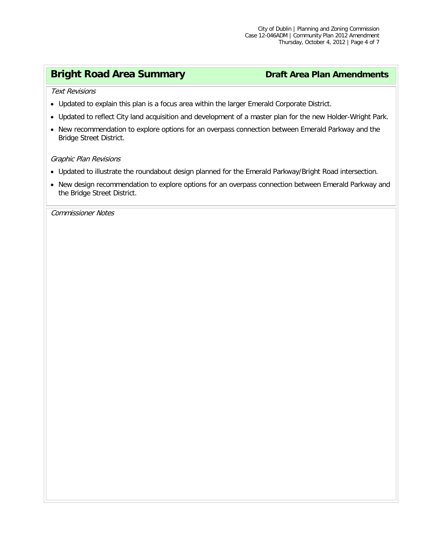# **Bright Road Area Summary by Draft Area Plan Amendments**

Text Revisions

- Updated to explain this plan is a focus area within the larger Emerald Corporate District.
- Updated to reflect City land acquisition and development of a master plan for the new Holder-Wright Park.
- New recommendation to explore options for an overpass connection between Emerald Parkway and the Bridge Street District.

### Graphic Plan Revisions

- Updated to illustrate the roundabout design planned for the Emerald Parkway/Bright Road intersection.
- New design recommendation to explore options for an overpass connection between Emerald Parkway and the Bridge Street District.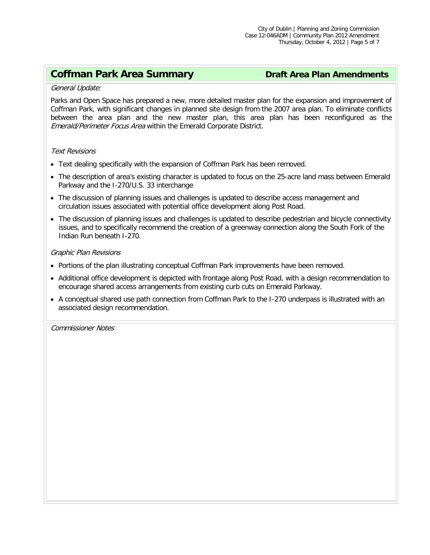# **Coffman Park Area Summary <b>Draft Area Plan Amendments**

### General Update:

Parks and Open Space has prepared a new, more detailed master plan for the expansion and improvement of Coffman Park, with significant changes in planned site design from the 2007 area plan. To eliminate conflicts between the area plan and the new master plan, this area plan has been reconfigured as the Emerald/Perimeter Focus Area within the Emerald Corporate District.

### Text Revisions

- Text dealing specifically with the expansion of Coffman Park has been removed.
- The description of area's existing character is updated to focus on the 25-acre land mass between Emerald Parkway and the I-270/U.S. 33 interchange
- The discussion of planning issues and challenges is updated to describe access management and circulation issues associated with potential office development along Post Road.
- The discussion of planning issues and challenges is updated to describe pedestrian and bicycle connectivity issues, and to specifically recommend the creation of a greenway connection along the South Fork of the Indian Run beneath I-270.

### Graphic Plan Revisions

- Portions of the plan illustrating conceptual Coffman Park improvements have been removed.
- Additional office development is depicted with frontage along Post Road, with a design recommendation to encourage shared access arrangements from existing curb cuts on Emerald Parkway.
- A conceptual shared use path connection from Coffman Park to the I-270 underpass is illustrated with an associated design recommendation.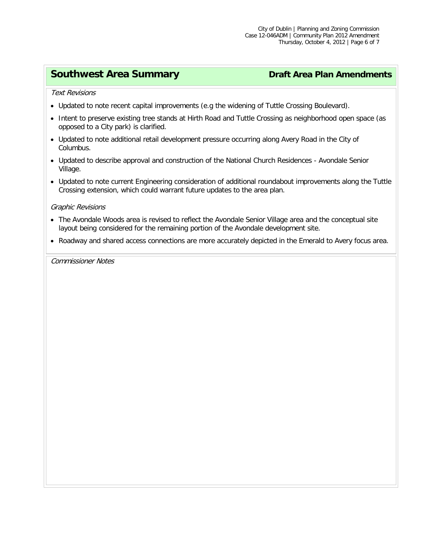# **Southwest Area Summary <b>Draft Area Plan Amendments**

Text Revisions

- Updated to note recent capital improvements (e.g the widening of Tuttle Crossing Boulevard).
- Intent to preserve existing tree stands at Hirth Road and Tuttle Crossing as neighborhood open space (as opposed to a City park) is clarified.
- Updated to note additional retail development pressure occurring along Avery Road in the City of Columbus.
- Updated to describe approval and construction of the National Church Residences Avondale Senior Village.
- Updated to note current Engineering consideration of additional roundabout improvements along the Tuttle Crossing extension, which could warrant future updates to the area plan.

### Graphic Revisions

- The Avondale Woods area is revised to reflect the Avondale Senior Village area and the conceptual site layout being considered for the remaining portion of the Avondale development site.
- Roadway and shared access connections are more accurately depicted in the Emerald to Avery focus area.